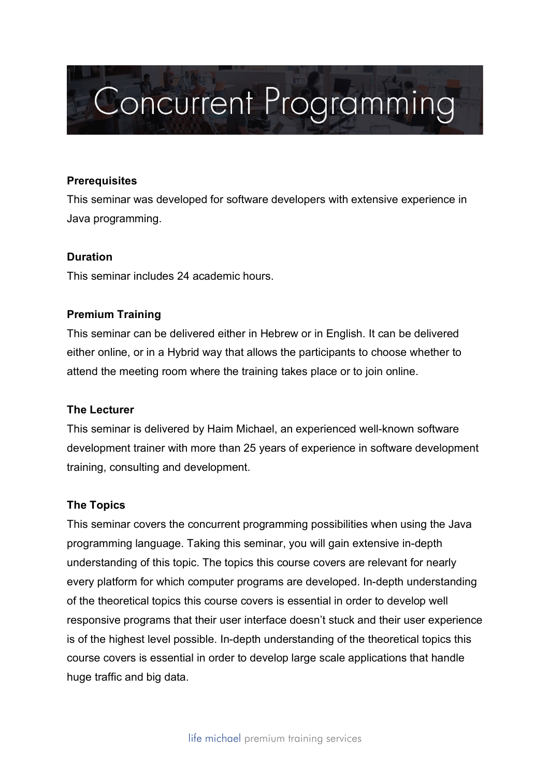# **Concurrent Programming**

## **Prerequisites**

This seminar was developed for software developers with extensive experience in Java programming.

# **Duration**

This seminar includes 24 academic hours.

# **Premium Training**

This seminar can be delivered either in Hebrew or in English. It can be delivered either online, or in a Hybrid way that allows the participants to choose whether to attend the meeting room where the training takes place or to join online.

## **The Lecturer**

This seminar is delivered by Haim Michael, an experienced well-known software development trainer with more than 25 years of experience in software development training, consulting and development.

## **The Topics**

This seminar covers the concurrent programming possibilities when using the Java programming language. Taking this seminar, you will gain extensive in-depth understanding of this topic. The topics this course covers are relevant for nearly every platform for which computer programs are developed. In-depth understanding of the theoretical topics this course covers is essential in order to develop well responsive programs that their user interface doesn't stuck and their user experience is of the highest level possible. In-depth understanding of the theoretical topics this course covers is essential in order to develop large scale applications that handle huge traffic and big data.